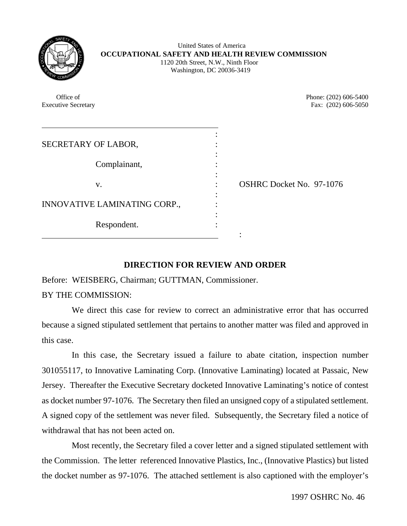| ř<br>ş.<br>٠<br>ç, |
|--------------------|
|--------------------|

 United States of America **OCCUPATIONAL SAFETY AND HEALTH REVIEW COMMISSION** 1120 20th Street, N.W., Ninth Floor Washington, DC 20036-3419

Office of Phone: (202) 606-5400 Executive Secretary Fax: (202) 606-5050  $\overline{a}$ : SECRETARY OF LABOR, : Complainant, : v. : OSHRC Docket No. 97-1076 : INNOVATIVE LAMINATING CORP.,  $\cdot$ : Respondent. :

## **DIRECTION FOR REVIEW AND ORDER**

Before: WEISBERG, Chairman; GUTTMAN, Commissioner.

BY THE COMMISSION:

We direct this case for review to correct an administrative error that has occurred because a signed stipulated settlement that pertains to another matter was filed and approved in this case.

In this case, the Secretary issued a failure to abate citation, inspection number 301055117, to Innovative Laminating Corp. (Innovative Laminating) located at Passaic, New Jersey. Thereafter the Executive Secretary docketed Innovative Laminating's notice of contest as docket number 97-1076. The Secretary then filed an unsigned copy of a stipulated settlement. A signed copy of the settlement was never filed. Subsequently, the Secretary filed a notice of withdrawal that has not been acted on.

Most recently, the Secretary filed a cover letter and a signed stipulated settlement with the Commission. The letter referenced Innovative Plastics, Inc., (Innovative Plastics) but listed the docket number as 97-1076. The attached settlement is also captioned with the employer's